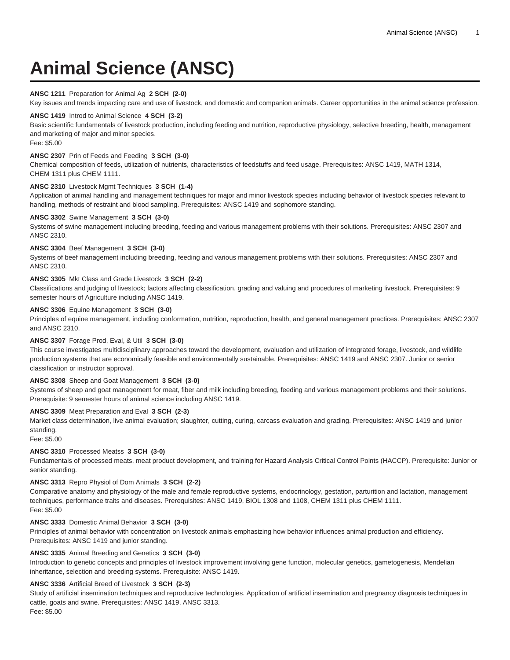# **Animal Science (ANSC)**

# **ANSC 1211** Preparation for Animal Ag **2 SCH (2-0)**

Key issues and trends impacting care and use of livestock, and domestic and companion animals. Career opportunities in the animal science profession.

## **ANSC 1419** Introd to Animal Science **4 SCH (3-2)**

Basic scientific fundamentals of livestock production, including feeding and nutrition, reproductive physiology, selective breeding, health, management and marketing of major and minor species.

Fee: \$5.00

# **ANSC 2307** Prin of Feeds and Feeding **3 SCH (3-0)**

Chemical composition of feeds, utilization of nutrients, characteristics of feedstuffs and feed usage. Prerequisites: ANSC 1419, MATH 1314, CHEM 1311 plus CHEM 1111.

## **ANSC 2310** Livestock Mgmt Techniques **3 SCH (1-4)**

Application of animal handling and management techniques for major and minor livestock species including behavior of livestock species relevant to handling, methods of restraint and blood sampling. Prerequisites: ANSC 1419 and sophomore standing.

## **ANSC 3302** Swine Management **3 SCH (3-0)**

Systems of swine management including breeding, feeding and various management problems with their solutions. Prerequisites: ANSC 2307 and ANSC 2310.

## **ANSC 3304** Beef Management **3 SCH (3-0)**

Systems of beef management including breeding, feeding and various management problems with their solutions. Prerequisites: ANSC 2307 and ANSC 2310.

## **ANSC 3305** Mkt Class and Grade Livestock **3 SCH (2-2)**

Classifications and judging of livestock; factors affecting classification, grading and valuing and procedures of marketing livestock. Prerequisites: 9 semester hours of Agriculture including ANSC 1419.

## **ANSC 3306** Equine Management **3 SCH (3-0)**

Principles of equine management, including conformation, nutrition, reproduction, health, and general management practices. Prerequisites: ANSC 2307 and ANSC 2310.

#### **ANSC 3307** Forage Prod, Eval, & Util **3 SCH (3-0)**

This course investigates multidisciplinary approaches toward the development, evaluation and utilization of integrated forage, livestock, and wildlife production systems that are economically feasible and environmentally sustainable. Prerequisites: ANSC 1419 and ANSC 2307. Junior or senior classification or instructor approval.

# **ANSC 3308** Sheep and Goat Management **3 SCH (3-0)**

Systems of sheep and goat management for meat, fiber and milk including breeding, feeding and various management problems and their solutions. Prerequisite: 9 semester hours of animal science including ANSC 1419.

# **ANSC 3309** Meat Preparation and Eval **3 SCH (2-3)**

Market class determination, live animal evaluation; slaughter, cutting, curing, carcass evaluation and grading. Prerequisites: ANSC 1419 and junior standing.

Fee: \$5.00

## **ANSC 3310** Processed Meatss **3 SCH (3-0)**

Fundamentals of processed meats, meat product development, and training for Hazard Analysis Critical Control Points (HACCP). Prerequisite: Junior or senior standing.

#### **ANSC 3313** Repro Physiol of Dom Animals **3 SCH (2-2)**

Comparative anatomy and physiology of the male and female reproductive systems, endocrinology, gestation, parturition and lactation, management techniques, performance traits and diseases. Prerequisites: ANSC 1419, BIOL 1308 and 1108, CHEM 1311 plus CHEM 1111. Fee: \$5.00

#### **ANSC 3333** Domestic Animal Behavior **3 SCH (3-0)**

Principles of animal behavior with concentration on livestock animals emphasizing how behavior influences animal production and efficiency. Prerequisites: ANSC 1419 and junior standing.

## **ANSC 3335** Animal Breeding and Genetics **3 SCH (3-0)**

Introduction to genetic concepts and principles of livestock improvement involving gene function, molecular genetics, gametogenesis, Mendelian inheritance, selection and breeding systems. Prerequisite: ANSC 1419.

## **ANSC 3336** Artificial Breed of Livestock **3 SCH (2-3)**

Study of artificial insemination techniques and reproductive technologies. Application of artificial insemination and pregnancy diagnosis techniques in cattle, goats and swine. Prerequisites: ANSC 1419, ANSC 3313.

Fee: \$5.00